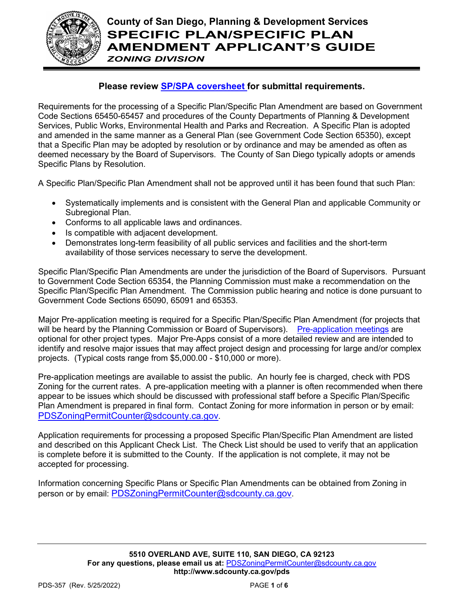

# **County of San Diego, Planning & Development Services SPECIFIC PLAN/SPECIFIC PLAN AMENDMENT APPLICANT'S GUIDE**

# *ZONING DIVISION*

# **Please review [SP/SPA coversheet f](http://www.sandiegocounty.gov/content/sdc/pds/zoning/ZoningPermits.html)or submittal requirements.**

Requirements for the processing of a Specific Plan/Specific Plan Amendment are based on Government Code Sections 65450-65457 and procedures of the County Departments of Planning & Development Services, Public Works, Environmental Health and Parks and Recreation. A Specific Plan is adopted and amended in the same manner as a General Plan (see Government Code Section 65350), except that a Specific Plan may be adopted by resolution or by ordinance and may be amended as often as deemed necessary by the Board of Supervisors. The County of San Diego typically adopts or amends Specific Plans by Resolution.

A Specific Plan/Specific Plan Amendment shall not be approved until it has been found that such Plan:

- Systematically implements and is consistent with the General Plan and applicable Community or Subregional Plan.
- Conforms to all applicable laws and ordinances.
- Is compatible with adjacent development.
- Demonstrates long-term feasibility of all public services and facilities and the short-term availability of those services necessary to serve the development.

Specific Plan/Specific Plan Amendments are under the jurisdiction of the Board of Supervisors. Pursuant to Government Code Section 65354, the Planning Commission must make a recommendation on the Specific Plan/Specific Plan Amendment. The Commission public hearing and notice is done pursuant to Government Code Sections 65090, 65091 and 65353.

Major Pre-application meeting is required for a Specific Plan/Specific Plan Amendment (for projects that will be heard by the Planning Commission or Board of Supervisors). [Pre-application meetings](http://www.sandiegocounty.gov/content/sdc/pds/zoning/ZoningPermits.html) are optional for other project types. Major Pre-Apps consist of a more detailed review and are intended to identify and resolve major issues that may affect project design and processing for large and/or complex projects. (Typical costs range from \$5,000.00 - \$10,000 or more).

Pre-application meetings are available to assist the public. An hourly fee is charged, check with PDS Zoning for the current rates. A pre-application meeting with a planner is often recommended when there appear to be issues which should be discussed with professional staff before a Specific Plan/Specific Plan Amendment is prepared in final form. Contact Zoning for more information in person or by email: [PDSZoningPermitCounter@sdcounty.ca.gov.](mailto:PDSZoningPermitCounter@sdcounty.ca.gov)

Application requirements for processing a proposed Specific Plan/Specific Plan Amendment are listed and described on this Applicant Check List. The Check List should be used to verify that an application is complete before it is submitted to the County. If the application is not complete, it may not be accepted for processing.

Information concerning Specific Plans or Specific Plan Amendments can be obtained from Zoning in person or by email: [PDSZoningPermitCounter@sdcounty.ca.gov.](mailto:PDSZoningPermitCounter@sdcounty.ca.gov)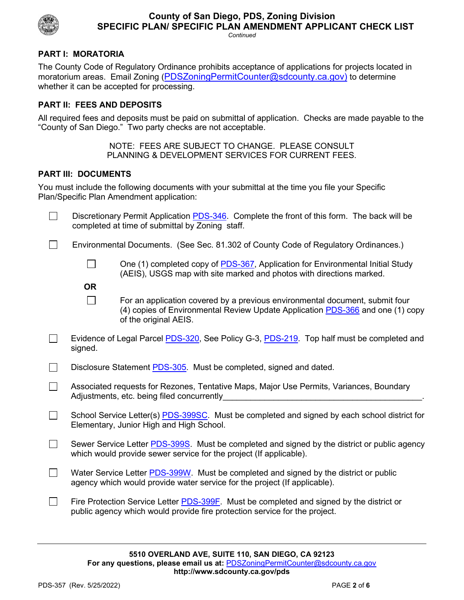

#### **County of San Diego, PDS, Zoning Division SPECIFIC PLAN/ SPECIFIC PLAN AMENDMENT APPLICANT CHECK LIST** *Continued*

# **PART I: MORATORIA**

The County Code of Regulatory Ordinance prohibits acceptance of applications for projects located in moratorium areas. Email Zoning [\(PDSZoningPermitCounter@sdcounty.ca.gov\)](mailto:PDSZoningPermitCounter@sdcounty.ca.gov) to determine whether it can be accepted for processing.

#### **PART II: FEES AND DEPOSITS**

All required fees and deposits must be paid on submittal of application. Checks are made payable to the "County of San Diego." Two party checks are not acceptable.

> NOTE: FEES ARE SUBJECT TO CHANGE. PLEASE CONSULT PLANNING & DEVELOPMENT SERVICES FOR CURRENT FEES.

#### **PART III: DOCUMENTS**

You must include the following documents with your submittal at the time you file your Specific Plan/Specific Plan Amendment application:

Discretionary Permit Application [PDS-346.](http://www.sdcounty.ca.gov/pds/zoning/formfields/PDS-PLN-346.pdf) Complete the front of this form. The back will be П completed at time of submittal by Zoning staff.

 $\Box$ Environmental Documents. (See Sec. 81.302 of County Code of Regulatory Ordinances.)

- One (1) completed copy of [PDS-367,](http://www.sdcounty.ca.gov/pds/zoning/formfields/PDS-PLN-367.pdf) Application for Environmental Initial Study (AEIS), USGS map with site marked and photos with directions marked.
- **OR**  $\Box$

 $\Box$ 

For an application covered by a previous environmental document, submit four (4) copies of Environmental Review Update Application [PDS-366](http://www.sdcounty.ca.gov/pds/zoning/formfields/PDS-PLN-366.pdf) and one (1) copy of the original AEIS.

- П Evidence of Legal Parcel [PDS-320,](http://www.sdcounty.ca.gov/pds/zoning/formfields/PDS-PLN-320.pdf) See Policy G-3, [PDS-219.](http://www.sdcounty.ca.gov/pds/zoning/formfields/PDS-PLN-219.pdf) Top half must be completed and signed.
- $\Box$ Disclosure Statement [PDS-305.](http://www.sdcounty.ca.gov/pds/zoning/formfields/PDS-PLN-305.pdf) Must be completed, signed and dated.
- Associated requests for Rezones, Tentative Maps, Major Use Permits, Variances, Boundary П Adjustments, etc. being filed concurrently
- $\Box$ School Service Letter(s) **PDS-399SC**. Must be completed and signed by each school district for Elementary, Junior High and High School.
- $\mathcal{L}$ Sewer Service Letter **PDS-399S**. Must be completed and signed by the district or public agency which would provide sewer service for the project (If applicable).
- Water Service Letter [PDS-399W.](http://www.sdcounty.ca.gov/pds/zoning/formfields/PDS-PLN-399W.pdf) Must be completed and signed by the district or public  $\Box$ agency which would provide water service for the project (If applicable).
- $\Box$ Fire Protection Service Letter [PDS-399F.](http://www.sdcounty.ca.gov/pds/zoning/formfields/PDS-PLN-399F.pdf) Must be completed and signed by the district or public agency which would provide fire protection service for the project.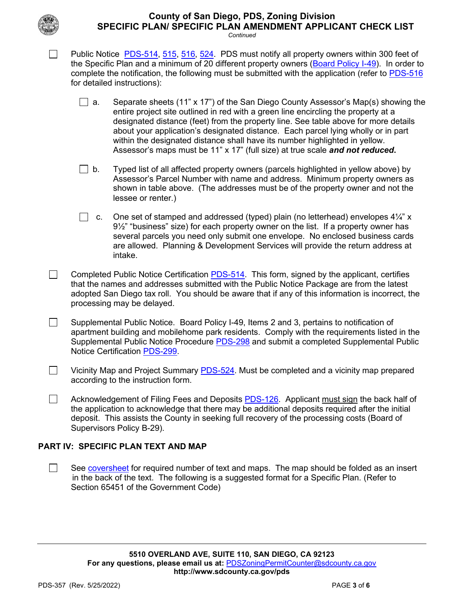

# **County of San Diego, PDS, Zoning Division SPECIFIC PLAN/ SPECIFIC PLAN AMENDMENT APPLICANT CHECK LIST**

*Continued*

Public Notice [PDS-514,](http://www.sdcounty.ca.gov/pds/zoning/formfields/PDS-PLN-514.pdf) [515,](http://www.sdcounty.ca.gov/pds/zoning/formfields/PDS-PLN-515.pdf) [516,](http://www.sdcounty.ca.gov/pds/zoning/formfields/PDS-PLN-516.pdf) [524.](http://www.sdcounty.ca.gov/pds/zoning/formfields/PDS-PLN-524.pdf) PDS must notify all property owners within 300 feet of the Specific Plan and a minimum of 20 different property owners [\(Board Policy I-49\)](http://www.sdcounty.ca.gov/cob/docs/policy/I-49.pdf). In order to complete the notification, the following must be submitted with the application (refer to [PDS-516](http://www.sdcounty.ca.gov/pds/zoning/formfields/PDS-PLN-516.pdf) for detailed instructions):

- **a.** Separate sheets (11" x 17") of the San Diego County Assessor's Map(s) showing the entire project site outlined in red with a green line encircling the property at a designated distance (feet) from the property line. See table above for more details about your application's designated distance. Each parcel lying wholly or in part within the designated distance shall have its number highlighted in yellow. Assessor's maps must be 11" x 17" (full size) at true scale *and not reduced***.**
- $\Box$  b. Typed list of all affected property owners (parcels highlighted in yellow above) by Assessor's Parcel Number with name and address. Minimum property owners as shown in table above. (The addresses must be of the property owner and not the lessee or renter.)
- c. One set of stamped and addressed (typed) plain (no letterhead) envelopes  $4\frac{1}{4}$ " x 9½" "business" size) for each property owner on the list. If a property owner has several parcels you need only submit one envelope. No enclosed business cards are allowed. Planning & Development Services will provide the return address at intake.
- $\Box$ Completed Public Notice Certification **PDS-514**. This form, signed by the applicant, certifies that the names and addresses submitted with the Public Notice Package are from the latest adopted San Diego tax roll. You should be aware that if any of this information is incorrect, the processing may be delayed.
- Supplemental Public Notice. Board Policy I-49, Items 2 and 3, pertains to notification of  $\Box$ apartment building and mobilehome park residents. Comply with the requirements listed in the Supplemental Public Notice Procedure [PDS-298](http://www.sdcounty.ca.gov/pds/zoning/formfields/PDS-PLN-298.pdf) and submit a completed Supplemental Public Notice Certification [PDS-299.](http://www.sdcounty.ca.gov/pds/zoning/formfields/PDS-PLN-299.pdf)
- $\Box$  Vicinity Map and Project Summary [PDS-524.](http://www.sdcounty.ca.gov/pds/zoning/formfields/PDS-PLN-524.pdf) Must be completed and a vicinity map prepared according to the instruction form.
	- Acknowledgement of Filing Fees and Deposits [PDS-126.](http://www.sdcounty.ca.gov/pds/zoning/formfields/PDS-PLN-126.pdf) Applicant must sign the back half of the application to acknowledge that there may be additional deposits required after the initial deposit. This assists the County in seeking full recovery of the processing costs (Board of Supervisors Policy B-29).

# **PART IV: SPECIFIC PLAN TEXT AND MAP**

See [coversheet](http://www.sandiegocounty.gov/content/sdc/pds/zoning/ZoningPermits.html) for required number of text and maps. The map should be folded as an insert in the back of the text. The following is a suggested format for a Specific Plan. (Refer to Section 65451 of the Government Code)

П

 $\Box$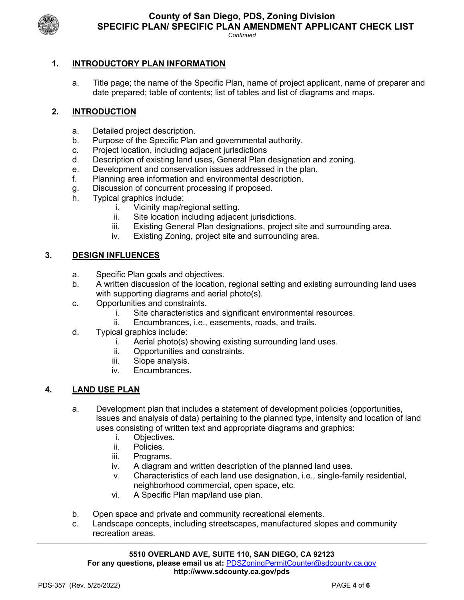

*Continued*

# **1. INTRODUCTORY PLAN INFORMATION**

a. Title page; the name of the Specific Plan, name of project applicant, name of preparer and date prepared; table of contents; list of tables and list of diagrams and maps.

# **2. INTRODUCTION**

- a. Detailed project description.
- b. Purpose of the Specific Plan and governmental authority.
- c. Project location, including adjacent jurisdictions
- d. Description of existing land uses, General Plan designation and zoning.
- e. Development and conservation issues addressed in the plan.
- f. Planning area information and environmental description.
- g. Discussion of concurrent processing if proposed.
- h. Typical graphics include:
	- i. Vicinity map/regional setting.
	- ii. Site location including adjacent jurisdictions.
	- iii. Existing General Plan designations, project site and surrounding area.
	- iv. Existing Zoning, project site and surrounding area.

## **3. DESIGN INFLUENCES**

- a. Specific Plan goals and objectives.
- b. A written discussion of the location, regional setting and existing surrounding land uses with supporting diagrams and aerial photo(s).
- c. Opportunities and constraints.
	- i. Site characteristics and significant environmental resources.
	- ii. Encumbrances, i.e., easements, roads, and trails.
- d. Typical graphics include:
	- i. Aerial photo(s) showing existing surrounding land uses.
	- ii. Opportunities and constraints.
	- iii. Slope analysis.
	- iv. Encumbrances.

## **4. LAND USE PLAN**

- a. Development plan that includes a statement of development policies (opportunities, issues and analysis of data) pertaining to the planned type, intensity and location of land uses consisting of written text and appropriate diagrams and graphics:
	- Objectives.
	- ii. Policies.
	- iii. Programs.
	- iv. A diagram and written description of the planned land uses.
	- v. Characteristics of each land use designation, i.e., single-family residential, neighborhood commercial, open space, etc.
	- vi. A Specific Plan map/land use plan.
- b. Open space and private and community recreational elements.
- c. Landscape concepts, including streetscapes, manufactured slopes and community recreation areas.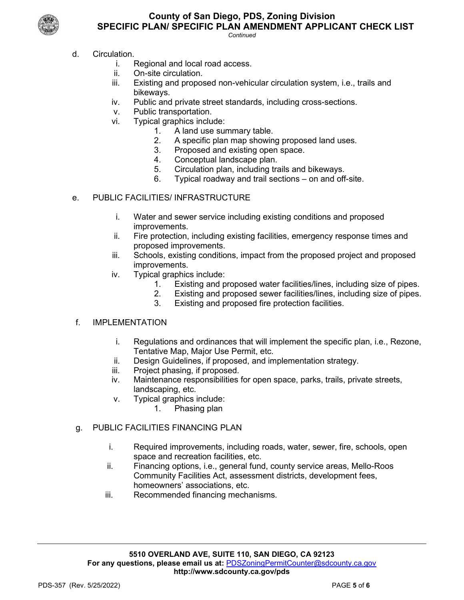

# **County of San Diego, PDS, Zoning Division SPECIFIC PLAN/ SPECIFIC PLAN AMENDMENT APPLICANT CHECK LIST**

*Continued*

- d. Circulation.
	- i. Regional and local road access.
	- ii. On-site circulation.
	- iii. Existing and proposed non-vehicular circulation system, i.e., trails and bikeways.
	- iv. Public and private street standards, including cross-sections.
	- v. Public transportation.<br>vi Typical graphics inclu
	- Typical graphics include:
		- 1. A land use summary table.
		- 2. A specific plan map showing proposed land uses.
		- 3. Proposed and existing open space.
		- 4. Conceptual landscape plan.
		- 5. Circulation plan, including trails and bikeways.
		- 6. Typical roadway and trail sections on and off-site.
- e. PUBLIC FACILITIES/ INFRASTRUCTURE
	- i. Water and sewer service including existing conditions and proposed improvements.
	- ii. Fire protection, including existing facilities, emergency response times and proposed improvements.
	- iii. Schools, existing conditions, impact from the proposed project and proposed improvements.
	- iv. Typical graphics include:
		- 1. Existing and proposed water facilities/lines, including size of pipes.
		- 2. Existing and proposed sewer facilities/lines, including size of pipes.<br>3. Existing and proposed fire protection facilities.
		- Existing and proposed fire protection facilities.

## f. IMPLEMENTATION

- i. Regulations and ordinances that will implement the specific plan, i.e., Rezone, Tentative Map, Major Use Permit, etc.
- ii. Design Guidelines, if proposed, and implementation strategy.
- iii. Project phasing, if proposed.
- iv. Maintenance responsibilities for open space, parks, trails, private streets, landscaping, etc.
- v. Typical graphics include:
	- 1. Phasing plan

## g. PUBLIC FACILITIES FINANCING PLAN

- i. Required improvements, including roads, water, sewer, fire, schools, open space and recreation facilities, etc.
- ii. Financing options, i.e., general fund, county service areas, Mello-Roos Community Facilities Act, assessment districts, development fees, homeowners' associations, etc.
- iii. Recommended financing mechanisms.